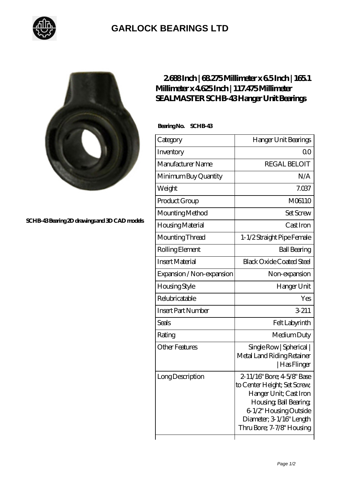

## **[GARLOCK BEARINGS LTD](https://m.letterstopriests.com)**



**[SCHB-43 Bearing 2D drawings and 3D CAD models](https://m.letterstopriests.com/pic-189206.html)**

## **[2.688 Inch | 68.275 Millimeter x 6.5 Inch | 165.1](https://m.letterstopriests.com/af-189206-sealmaster-schb-43-hanger-unit-bearings.html) [Millimeter x 4.625 Inch | 117.475 Millimeter](https://m.letterstopriests.com/af-189206-sealmaster-schb-43-hanger-unit-bearings.html) [SEALMASTER SCHB-43 Hanger Unit Bearings](https://m.letterstopriests.com/af-189206-sealmaster-schb-43-hanger-unit-bearings.html)**

 **Bearing No. SCHB-43**

| Category                  | Hanger Unit Bearings                                                                                                                                                                              |
|---------------------------|---------------------------------------------------------------------------------------------------------------------------------------------------------------------------------------------------|
| Inventory                 | Q0                                                                                                                                                                                                |
| Manufacturer Name         | <b>REGAL BELOIT</b>                                                                                                                                                                               |
| Minimum Buy Quantity      | N/A                                                                                                                                                                                               |
| Weight                    | 7.037                                                                                                                                                                                             |
| Product Group             | M06110                                                                                                                                                                                            |
| Mounting Method           | <b>Set Screw</b>                                                                                                                                                                                  |
| Housing Material          | Cast Iron                                                                                                                                                                                         |
| Mounting Thread           | 1-1/2 Straight Pipe Female                                                                                                                                                                        |
| Rolling Element           | <b>Ball Bearing</b>                                                                                                                                                                               |
| <b>Insert Material</b>    | <b>Black Oxide Coated Steel</b>                                                                                                                                                                   |
| Expansion / Non-expansion | Non-expansion                                                                                                                                                                                     |
| Housing Style             | Hanger Unit                                                                                                                                                                                       |
| Relubricatable            | Yes                                                                                                                                                                                               |
| <b>Insert Part Number</b> | 3-211                                                                                                                                                                                             |
| <b>Seals</b>              | Felt Labyrinth                                                                                                                                                                                    |
| Rating                    | Medium Duty                                                                                                                                                                                       |
| <b>Other Features</b>     | Single Row   Spherical  <br>Metal Land Riding Retainer<br>  Has Flinger                                                                                                                           |
| Long Description          | 2-11/16" Bore; 4-5/8" Base<br>to Center Height; Set Screw,<br>Hanger Unit; Cast Iron<br>Housing, Ball Bearing,<br>6-1/2" Housing Outside<br>Diameter; 3 1/16" Length<br>Thru Bore; 7-7/8" Housing |